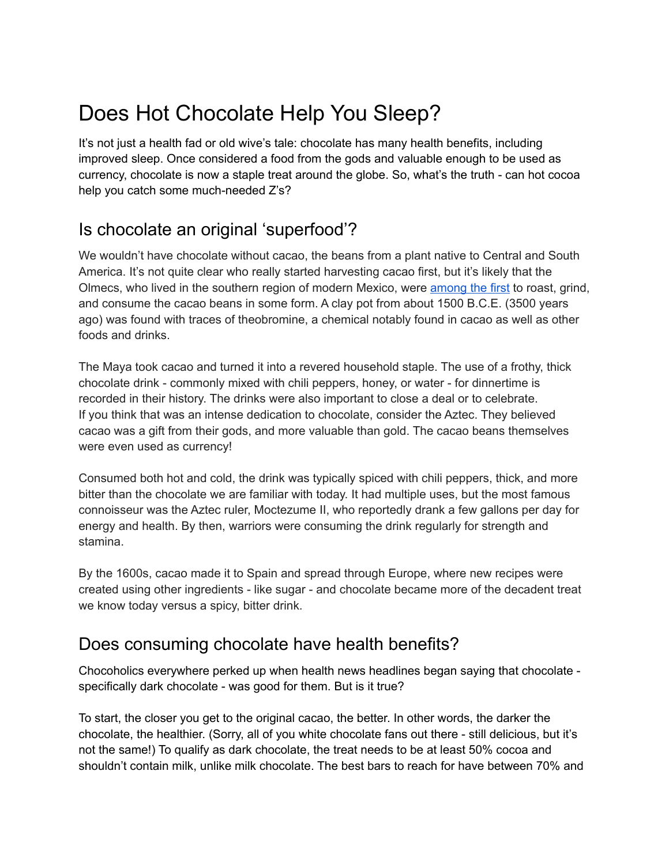# Does Hot Chocolate Help You Sleep?

It's not just a health fad or old wive's tale: chocolate has many health benefits, including improved sleep. Once considered a food from the gods and valuable enough to be used as currency, chocolate is now a staple treat around the globe. So, what's the truth - can hot cocoa help you catch some much-needed Z's?

## Is chocolate an original 'superfood'?

We wouldn't have chocolate without cacao, the beans from a plant native to Central and South America. It's not quite clear who really started harvesting cacao first, but it's likely that the Olmecs, who lived in the southern region of modern Mexico, were [among](https://www.smithsonianmag.com/arts-culture/a-brief-history-of-chocolate-21860917/) the first to roast, grind, and consume the cacao beans in some form. A clay pot from about 1500 B.C.E. (3500 years ago) was found with traces of theobromine, a chemical notably found in cacao as well as other foods and drinks.

The Maya took cacao and turned it into a revered household staple. The use of a frothy, thick chocolate drink - commonly mixed with chili peppers, honey, or water - for dinnertime is recorded in their history. The drinks were also important to close a deal or to celebrate. If you think that was an intense dedication to chocolate, consider the Aztec. They believed cacao was a gift from their gods, and more valuable than gold. The cacao beans themselves were even used as currency!

Consumed both hot and cold, the drink was typically spiced with chili peppers, thick, and more bitter than the chocolate we are familiar with today. It had multiple uses, but the most famous connoisseur was the Aztec ruler, Moctezume II, who reportedly drank a few gallons per day for energy and health. By then, warriors were consuming the drink regularly for strength and stamina.

By the 1600s, cacao made it to Spain and spread through Europe, where new recipes were created using other ingredients - like sugar - and chocolate became more of the decadent treat we know today versus a spicy, bitter drink.

## Does consuming chocolate have health benefits?

Chocoholics everywhere perked up when health news headlines began saying that chocolate specifically dark chocolate - was good for them. But is it true?

To start, the closer you get to the original cacao, the better. In other words, the darker the chocolate, the healthier. (Sorry, all of you white chocolate fans out there - still delicious, but it's not the same!) To qualify as dark chocolate, the treat needs to be at least 50% cocoa and shouldn't contain milk, unlike milk chocolate. The best bars to reach for have between 70% and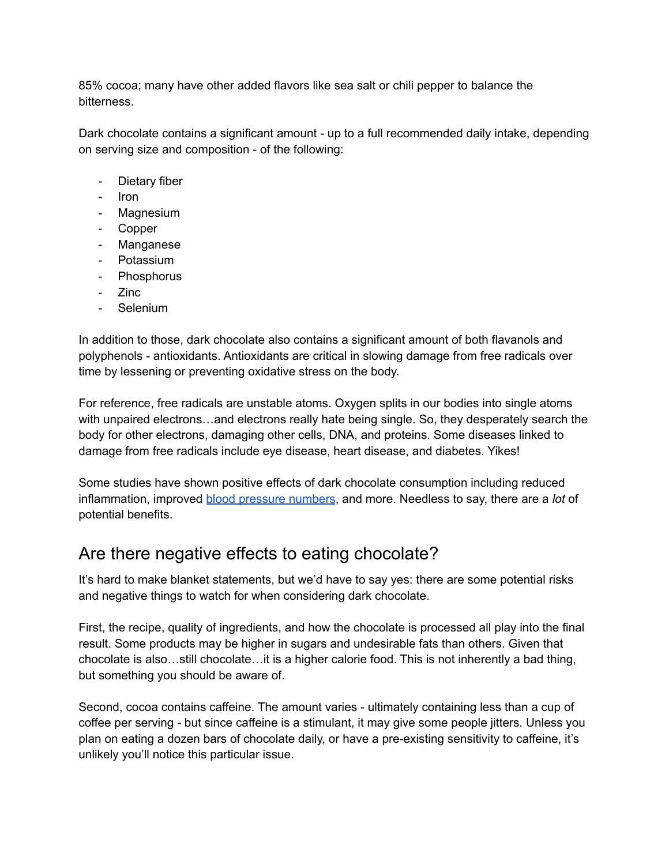85% cocoa; many have other added flavors like sea salt or chili pepper to balance the bitterness.

Dark chocolate contains a significant amount - up to a full recommended daily intake, depending on serving size and composition - of the following:

- Dietary fiber
- Iron
- Magnesium
- Copper
- Manganese
- Potassium
- Phosphorus
- Zinc
- Selenium

In addition to those, dark chocolate also contains a significant amount of both flavanols and polyphenols - antioxidants. Antioxidants are critical in slowing damage from free radicals over time by lessening or preventing oxidative stress on the body.

For reference, free radicals are unstable atoms. Oxygen splits in our bodies into single atoms with unpaired electrons…and electrons really hate being single. So, they desperately search the body for other electrons, damaging other cells, DNA, and proteins. Some diseases linked to damage from free radicals include eye disease, heart disease, and diabetes. Yikes!

Some studies have shown positive effects of dark chocolate consumption including reduced inflammation, improved blood [pressure](https://www.ncbi.nlm.nih.gov/pmc/articles/PMC4460349/) numbers, and more. Needless to say, there are a *lot* of potential benefits.

#### Are there negative effects to eating chocolate?

It's hard to make blanket statements, but we'd have to say yes: there are some potential risks and negative things to watch for when considering dark chocolate.

First, the recipe, quality of ingredients, and how the chocolate is processed all play into the final result. Some products may be higher in sugars and undesirable fats than others. Given that chocolate is also…still chocolate…it is a higher calorie food. This is not inherently a bad thing, but something you should be aware of.

Second, cocoa contains caffeine. The amount varies - ultimately containing less than a cup of coffee per serving - but since caffeine is a stimulant, it may give some people jitters. Unless you plan on eating a dozen bars of chocolate daily, or have a pre-existing sensitivity to caffeine, it's unlikely you'll notice this particular issue.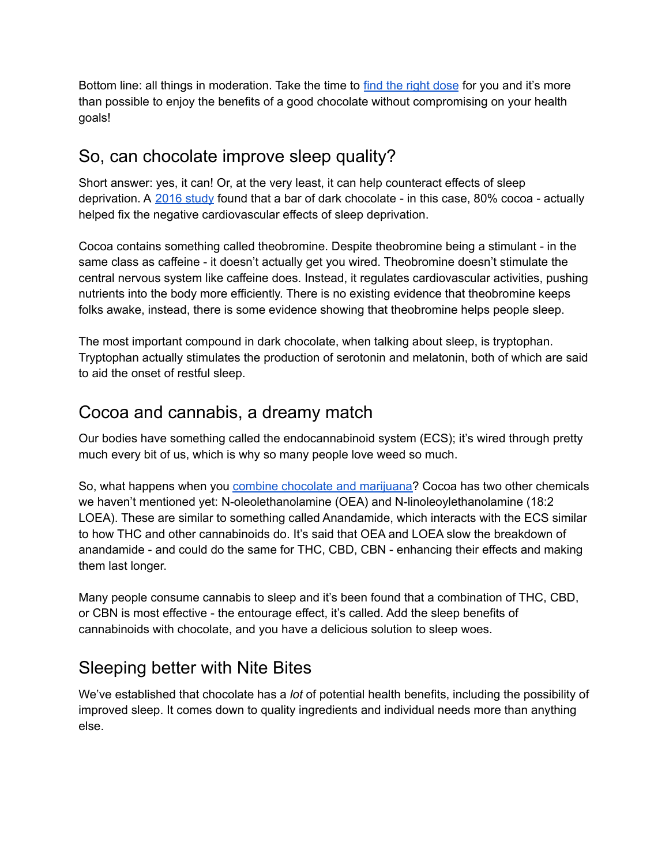Bottom line: all things in moderation. Take the time to find the right [dose](https://pantryfoodco.com/blogs/news/how-much-cannabis-to-take-finding-the-right-edible-dosage-for-you) for you and it's more than possible to enjoy the benefits of a good chocolate without compromising on your health goals!

## So, can chocolate improve sleep quality?

Short answer: yes, it can! Or, at the very least, it can help counteract effects of sleep deprivation. A 2016 [study](https://www.proquest.com/docview/1986451312) found that a bar of dark chocolate - in this case, 80% cocoa - actually helped fix the negative cardiovascular effects of sleep deprivation.

Cocoa contains something called theobromine. Despite theobromine being a stimulant - in the same class as caffeine - it doesn't actually get you wired. Theobromine doesn't stimulate the central nervous system like caffeine does. Instead, it regulates cardiovascular activities, pushing nutrients into the body more efficiently. There is no existing evidence that theobromine keeps folks awake, instead, there is some evidence showing that theobromine helps people sleep.

The most important compound in dark chocolate, when talking about sleep, is tryptophan. Tryptophan actually stimulates the production of serotonin and melatonin, both of which are said to aid the onset of restful sleep.

### Cocoa and cannabis, a dreamy match

Our bodies have something called the endocannabinoid system (ECS); it's wired through pretty much every bit of us, which is why so many people love weed so much.

So, what happens when you combine chocolate and [marijuana?](https://pantryfoodco.com/blogs/news/weed-chocolate-101-a-comprehensive-overview-of-the-tastiest-edibles-on-the-market) Cocoa has two other chemicals we haven't mentioned yet: N-oleolethanolamine (OEA) and N-linoleoylethanolamine (18:2 LOEA). These are similar to something called Anandamide, which interacts with the ECS similar to how THC and other cannabinoids do. It's said that OEA and LOEA slow the breakdown of anandamide - and could do the same for THC, CBD, CBN - enhancing their effects and making them last longer.

Many people consume cannabis to sleep and it's been found that a combination of THC, CBD, or CBN is most effective - the entourage effect, it's called. Add the sleep benefits of cannabinoids with chocolate, and you have a delicious solution to sleep woes.

## Sleeping better with Nite Bites

We've established that chocolate has a *lot* of potential health benefits, including the possibility of improved sleep. It comes down to quality ingredients and individual needs more than anything else.